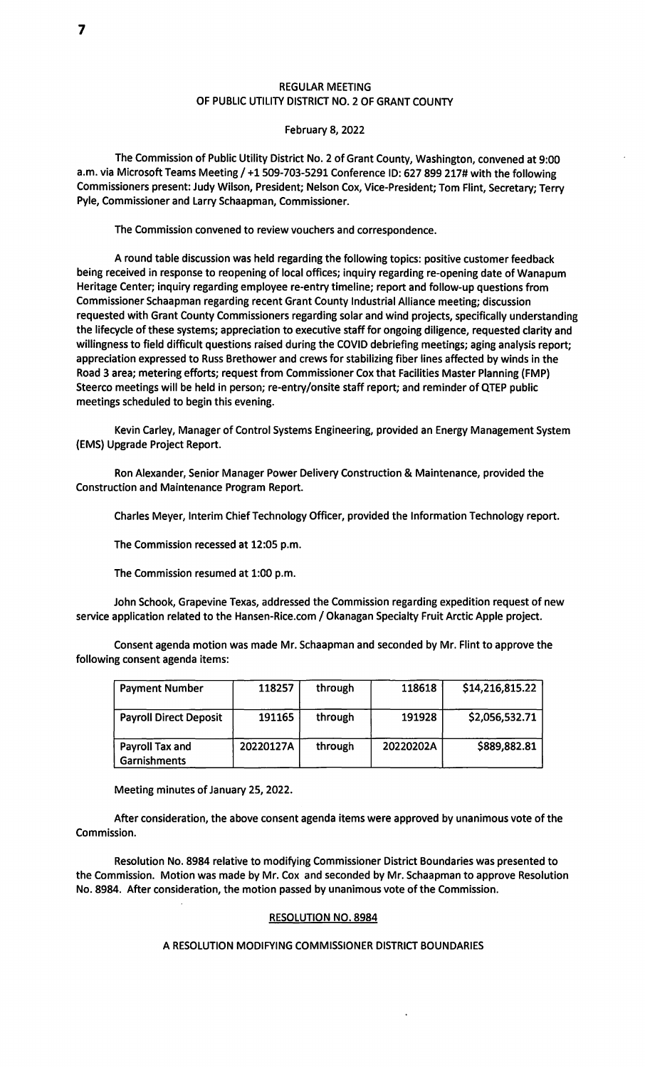# REGULAR MEETING OF PUBLIC UTILITY DISTRICT NO. 2 OF GRANT COUNTY

### February 8, 2022

The Commission of Public Utility District No. 2 of Grant County, Washington, convened at 9:00 a.m. via Microsoft Teams Meeting/ +1509-703-5291 Conference ID: 627 899 217# with the following Commissioners present: Judy Wilson, President; Nelson Cox, Vice-President; Tom Flint, Secretary; Terry Pyle, Commissioner and Larry Schaapman, Commissioner.

The Commission convened to review vouchers and correspondence.

A round table discussion was held regarding the following topics: positive customer feedback being received in response to reopening of local offices; inquiry regarding re-opening date of Wanapum Heritage Center; inquiry regarding employee re-entry timeline; report and follow-up questions from Commissioner Schaapman regarding recent Grant County Industrial Alliance meeting; discussion requested with Grant County Commissioners regarding solar and wind projects, specifically understanding the lifecycle of these systems; appreciation to executive staff for ongoing diligence, requested clarity and willingness to field difficult questions raised during the COVID debriefing meetings; aging analysis report; appreciation expressed to Russ Brethower and crews for stabilizing fiber lines affected by winds in the Road 3 **area;** metering efforts; request from Commissioner Cox that Facilities Master Planning (FMP) Steerco meetings will be held in person; re-entry/onsite staff report; and reminder of QTEP public meetings scheduled to begin this evening.

Kevin Carley, Manager of Control Systems Engineering, provided an Energy Management System (EMS) Upgrade Project Report.

Ron Alexander, Senior Manager Power Delivery Construction & Maintenance, provided the Construction and Maintenance Program Report.

Charles Meyer, Interim Chief Technology Officer, provided the Information Technology report.

The Commission recessed at 12:05 p.m.

The Commission resumed at 1:00 p.m.

John Schook, Grapevine Texas, addressed the Commission regarding expedition request of new service application related to the Hansen-Rice.com / Okanagan Specialty Fruit Arctic Apple project.

Consent agenda motion was made Mr. Schaapman and seconded by Mr. Flint to approve the following consent agenda items:

| <b>Payment Number</b>           | 118257    | through | 118618    | \$14,216,815.22 |
|---------------------------------|-----------|---------|-----------|-----------------|
| <b>Payroll Direct Deposit</b>   | 191165    | through | 191928    | \$2,056,532.71  |
| Payroll Tax and<br>Garnishments | 20220127A | through | 20220202A | \$889,882.81    |

Meeting minutes of January 25, 2022.

After consideration, the above consent agenda items were approved by unanimous vote of the Commission.

Resolution No. 8984 relative to modifying Commissioner District Boundaries was presented to the Commission. Motion was made by Mr. Cox and seconded by Mr. Schaapman to approve Resolution No. 8984. After consideration, the motion passed by unanimous vote of the Commission.

### RESOLUTION NO. 8984

## A RESOLUTION MODIFYING COMMISSIONER DISTRICT BOUNDARIES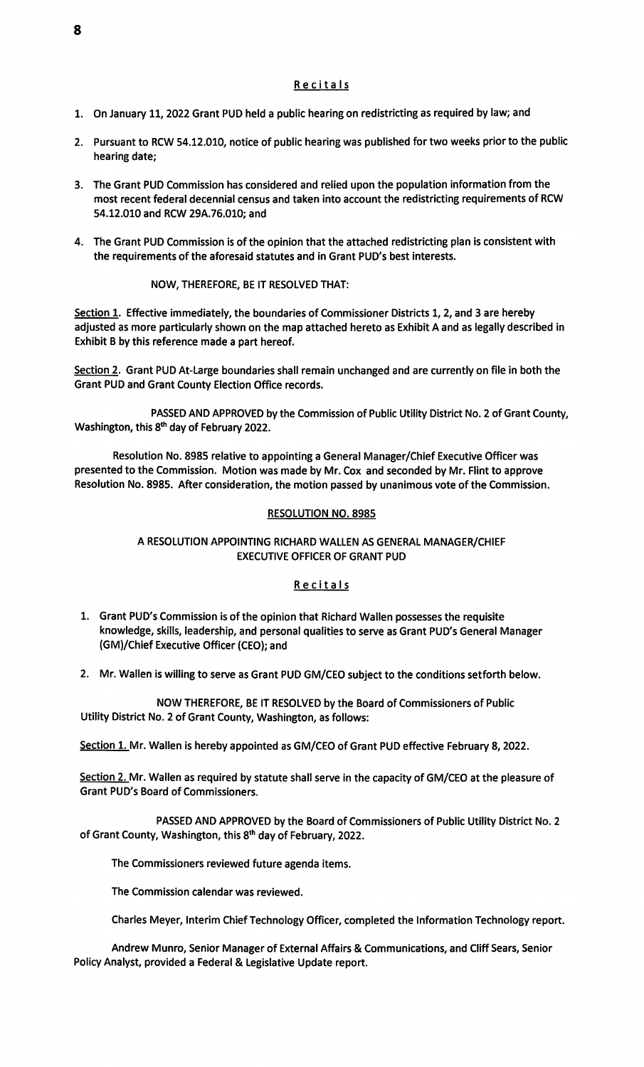#### Recitals

- 1. On January 11, 2022 Grant PUD held a public hearing on redistricting as required by law; and
- 2. Pursuant to RCW 54.12.010, notice of public hearing was published for two weeks prior to the public hearing date;
- 3. The Grant PUD Commission has considered and relied upon the population information from the most recent federal decennial census and taken into account the redistricting requirements of RCW 54.12.010 and RCW 29A.76.010; and
- 4. The Grant PUD Commission is of the opinion that the attached redistricting plan is consistent with the requirements of the aforesaid statutes and in Grant PUD's best interests.

### NOW, THEREFORE, BE IT RESOLVED THAT:

Section 1. Effective immediately, the boundaries of Commissioner Districts 1, 2, and 3 are hereby adjusted as more particularly shown on the map attached hereto as Exhibit A and as legally described in Exhibit B by this reference made a part hereof.

Section 2. Grant PUD At-Large boundaries shall remain unchanged and are currently on file in both the Grant PUD and Grant County Election Office records.

PASSED AND APPROVED by the Commission of Public Utility District No. 2 of Grant County, Washington, this 8<sup>th</sup> day of February 2022.

Resolution No. 8985 relative to appointing a General Manager/Chief Executive Officer was presented to the Commission. Motion was made by Mr. Cox and seconded by Mr. Flint to approve Resolution No. 8985. After consideration, the motion passed by unanimous vote of the Commission.

### RESOLUTION NO. 8985

# A RESOLUTION APPOINTING RICHARD WALLEN AS GENERAL MANAGER/CHIEF EXECUTIVE OFFICER OF GRANT PUD

### Recitals

- 1. Grant PUD's Commission is of the opinion that Richard Wallen possesses the requisite knowledge, skills, leadership, and personal qualities to serve as Grant PUD's General Manager (GM)/Chief Executive Officer (CEO); and
- 2. Mr. Wallen is willing to serve as Grant PUD GM/CEO subject to the conditions setforth below.

NOW THEREFORE, BE IT RESOLVED by the Board of Commissioners of Public Utility District No. 2 of Grant County, Washington, as follows:

Section 1. Mr. Wallen is hereby appointed as GM/CEO of Grant PUD effective February 8, 2022.

Section 2. Mr. Wallen as required by statute shall serve in the capacity of GM/CEO at the pleasure of Grant PUD's Board of Commissioners.

PASSED AND APPROVED by the Board of Commissioners of Public Utility District No. 2 of Grant County, Washington, this 8th day of February, 2022.

The Commissioners reviewed future agenda items.

The Commission calendar was reviewed.

Charles Meyer, Interim Chief Technology Officer, completed the Information Technology report.

Andrew Munro, Senior Manager of External Affairs & Communications, and Cliff Sears, Senior Policy Analyst, provided a Federal & Legislative Update report.